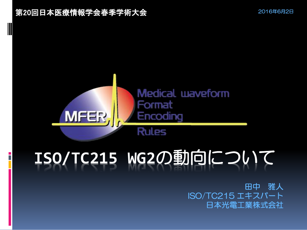

# **ISO/TC215 WG2**の動向について

 田中 雅人 ISO/TC215 エキスパート 日本光電工業株式会社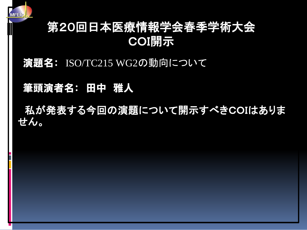

### 第20回日本医療情報学会春季学術大会 COI開示

#### 演題名: ISO/TC215 WG2の動向について

#### 筆頭演者名: 田中 雅人

 私が発表する今回の演題について開示すべきCOIはありま せん。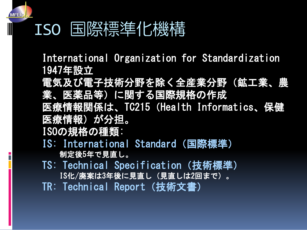### ISO 国際標準化機構

International Organization for Standardization 1947年設立

電気及び電子技術分野を除く全産業分野(鉱工業、農 業、医薬品等)に関する国際規格の作成 医療情報関係は、TC215(Health Informatics、保健

医療情報)が分担。

ISOの規格の種類:

- IS: International Standard(国際標準) 制定後5年で見直し。
- TS: Technical Specification (技術標準) IS化/廃案は3年後に見直し(見直しは2回まで)。 TR: Technical Report (技術文書)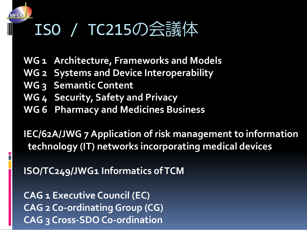### ISO / TC215の会議体

- **WG 1 Architecture, Frameworks and Models**
- **WG 2 Systems and Device Interoperability**
- **WG 3 Semantic Content**
- **WG 4 Security, Safety and Privacy**
- **WG 6 Pharmacy and Medicines Business**

**IEC/62A/JWG 7 Application of risk management to information technology (IT) networks incorporating medical devices**

**ISO/TC249/JWG1 Informatics of TCM**

**CAG 1 Executive Council (EC) CAG 2 Co-ordinating Group (CG) CAG 3 Cross-SDO Co-ordination**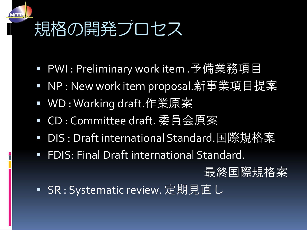## 規格の開発プロセス

- PWI : Preliminary work item .予備業務項目
- NP : New work item proposal.新事業項目提案
- WD: Working draft.作業原案
- CD : Committee draft. 委員会原案
- DIS : Draft international Standard.国際規格案
- **FDIS: Final Draft international Standard.**

最終国際規格案

SR : Systematic review. 定期見直し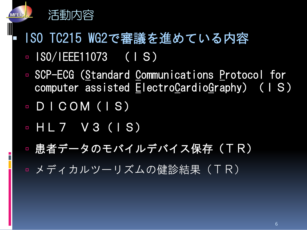

- ISO TC215 WG2で審議を進めている内容  $\sqrt{180/1}$  EEE11073 (IS)
	- SCP-ECG (Standard Communications Protocol for computer assisted ElectroCardioGraphy)(IS)
	- DICOM(IS)
	- $-HL7$   $V3$  (1S)
	- **患者データのモバイルデバイス保存(TR)**
	- **メディカルツーリズムの健診結果(TR)**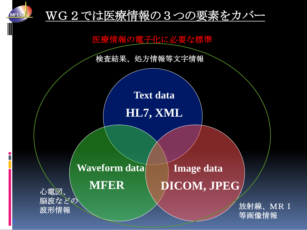

#### WG2では医療情報の3つの要素をカバー

医療情報の電子化に必要な標準

検査結果、処方情報等文字情報

**Text data**

**HL7, XML**

### **Waveform data**

**Image data**

#### **MFER DICOM, JPEG**

油设<\* U → V → V → W → 放射線、MR I → 放射線、MR I 等画像情報

 心電図、 脳波などの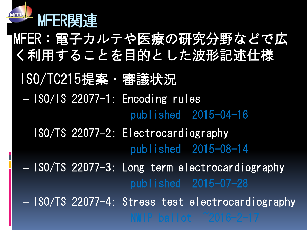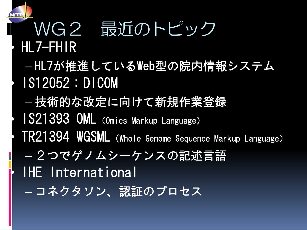WG2 最近のトピック • HL7-FHIR – HL7が推進しているWeb型の院内情報システム • IS12052:DICOM – 技術的な改定に向けて新規作業登録 1S21393 OML (Omics Markup Language) • TR21394 WGSML(Whole Genome Sequence Markup Language) – 2つでゲノムシーケンスの記述言語 IHE International – コネクタソン、認証のプロセス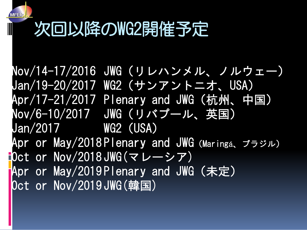## 次回以降のWG2開催予定

Nov/14-17/2016 JWG(リレハンメル、ノルウェー) Jan/19-20/2017 WG2(サンアントニオ、USA) Apr/17-21/2017 Plenary and JWG(杭州、中国) Nov/6-10/2017 JWG(リバプール、英国) Jan/2017 WG2(USA) Apr or May/2018 Plenary and JWG(Maringá、ブラジル) Oct or Nov/2018 JWG(マレーシア) Apr or May/2019 Plenary and JWG(未定) Oct or Nov/2019JWG(韓国)